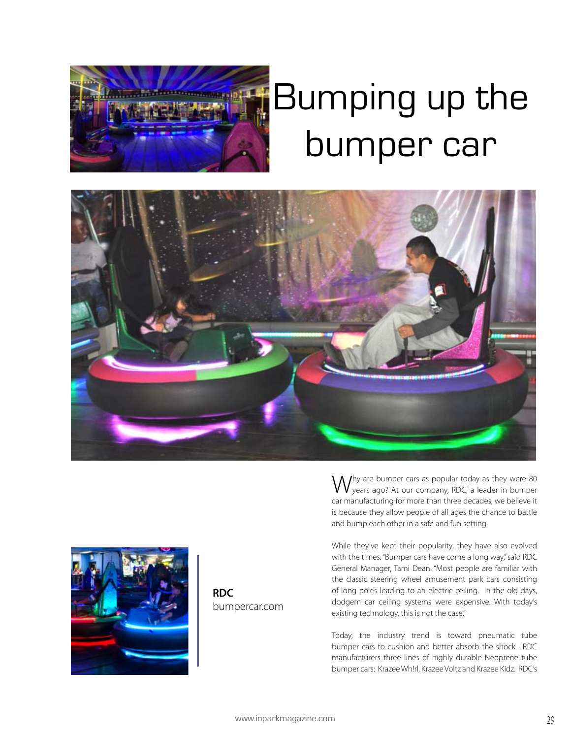

## Bumping up the bumper car





**RDC** bumpercar.com

Ihy are bumper cars as popular today as they were 80 years ago? At our company, RDC, a leader in bumper car manufacturing for more than three decades, we believe it is because they allow people of all ages the chance to battle and bump each other in a safe and fun setting.

While they've kept their popularity, they have also evolved with the times. "Bumper cars have come a long way," said RDC General Manager, Tami Dean. "Most people are familiar with the classic steering wheel amusement park cars consisting of long poles leading to an electric ceiling. In the old days, dodgem car ceiling systems were expensive. With today's existing technology, this is not the case."

Today, the industry trend is toward pneumatic tube bumper cars to cushion and better absorb the shock. RDC manufacturers three lines of highly durable Neoprene tube bumper cars: Krazee Wh!rl, Krazee Voltz and Krazee Kidz. RDC's